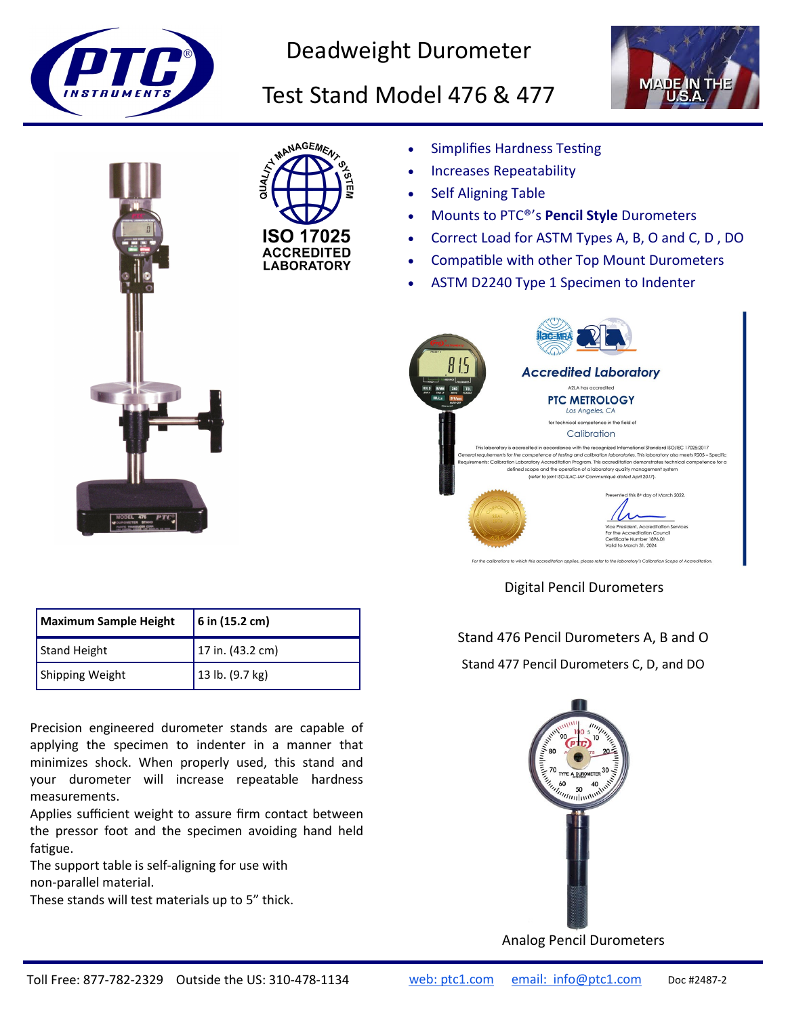

Deadweight Durometer

## Test Stand Model 476 & 477







- Simplifies Hardness Testing
- Increases Repeatability
- Self Aligning Table
- Mounts to PTC®'s **Pencil Style** Durometers
- Correct Load for ASTM Types A, B, O and C, D , DO
- Compatible with other Top Mount Durometers
- ASTM D2240 Type 1 Specimen to Indenter



Digital Pencil Durometers

## Stand 476 Pencil Durometers A, B and O

Stand 477 Pencil Durometers C, D, and DO



Analog Pencil Durometers

| Maximum Sample Height | $6$ in (15.2 cm)  |
|-----------------------|-------------------|
| Stand Height          | 17 in. (43.2 cm)  |
| Shipping Weight       | $13$ lb. (9.7 kg) |

Precision engineered durometer stands are capable of applying the specimen to indenter in a manner that minimizes shock. When properly used, this stand and your durometer will increase repeatable hardness measurements.

Applies sufficient weight to assure firm contact between the pressor foot and the specimen avoiding hand held fatigue.

The support table is self-aligning for use with non-parallel material.

These stands will test materials up to 5" thick.